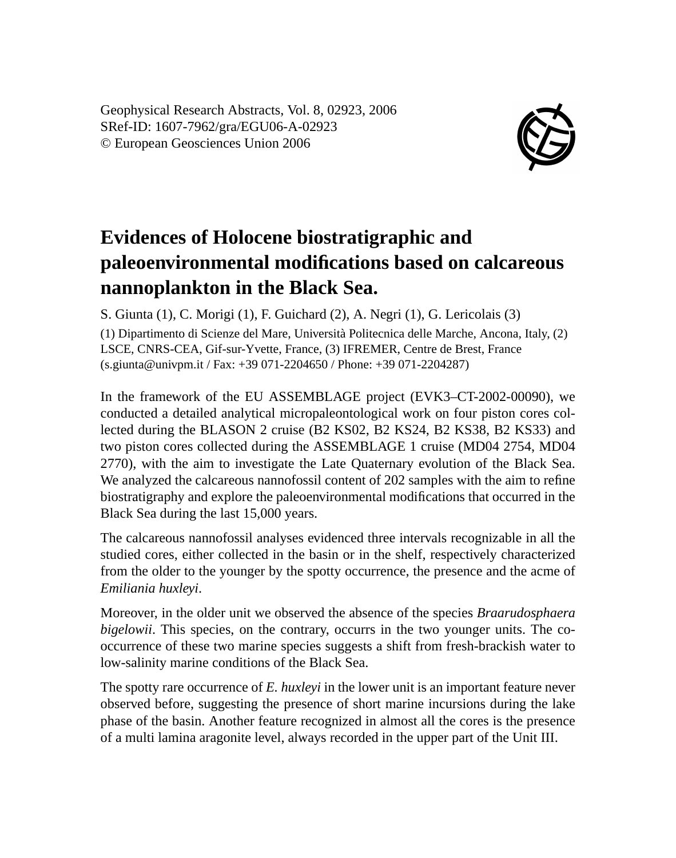Geophysical Research Abstracts, Vol. 8, 02923, 2006 SRef-ID: 1607-7962/gra/EGU06-A-02923 © European Geosciences Union 2006



## **Evidences of Holocene biostratigraphic and paleoenvironmental modifications based on calcareous nannoplankton in the Black Sea.**

S. Giunta (1), C. Morigi (1), F. Guichard (2), A. Negri (1), G. Lericolais (3)

(1) Dipartimento di Scienze del Mare, Università Politecnica delle Marche, Ancona, Italy, (2) LSCE, CNRS-CEA, Gif-sur-Yvette, France, (3) IFREMER, Centre de Brest, France (s.giunta@univpm.it / Fax: +39 071-2204650 / Phone: +39 071-2204287)

In the framework of the EU ASSEMBLAGE project (EVK3–CT-2002-00090), we conducted a detailed analytical micropaleontological work on four piston cores collected during the BLASON 2 cruise (B2 KS02, B2 KS24, B2 KS38, B2 KS33) and two piston cores collected during the ASSEMBLAGE 1 cruise (MD04 2754, MD04 2770), with the aim to investigate the Late Quaternary evolution of the Black Sea. We analyzed the calcareous nannofossil content of 202 samples with the aim to refine biostratigraphy and explore the paleoenvironmental modifications that occurred in the Black Sea during the last 15,000 years.

The calcareous nannofossil analyses evidenced three intervals recognizable in all the studied cores, either collected in the basin or in the shelf, respectively characterized from the older to the younger by the spotty occurrence, the presence and the acme of *Emiliania huxleyi*.

Moreover, in the older unit we observed the absence of the species *Braarudosphaera bigelowii*. This species, on the contrary, occurrs in the two younger units. The cooccurrence of these two marine species suggests a shift from fresh-brackish water to low-salinity marine conditions of the Black Sea.

The spotty rare occurrence of *E. huxleyi* in the lower unit is an important feature never observed before, suggesting the presence of short marine incursions during the lake phase of the basin. Another feature recognized in almost all the cores is the presence of a multi lamina aragonite level, always recorded in the upper part of the Unit III.